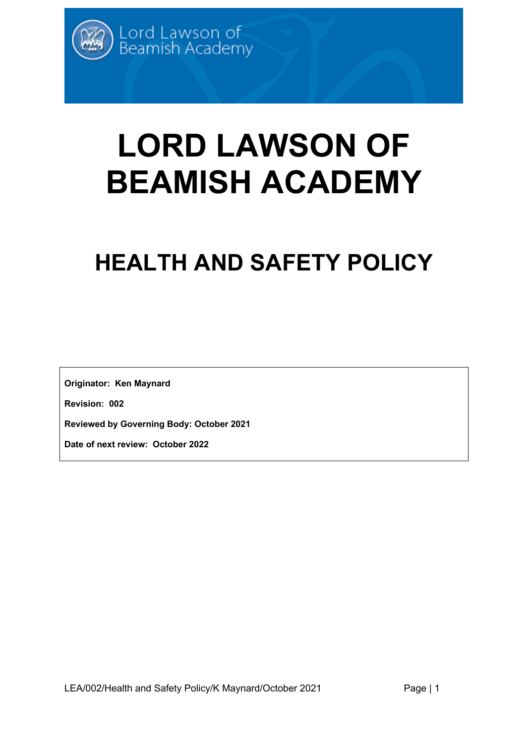# **LORD LAWSON OF BEAMISH ACADEMY**

# **HEALTH AND SAFETY POLICY**

**Originator: Ken Maynard**

**Revision: 002**

**Reviewed by Governing Body: October 2021**

**Date of next review: October 2022**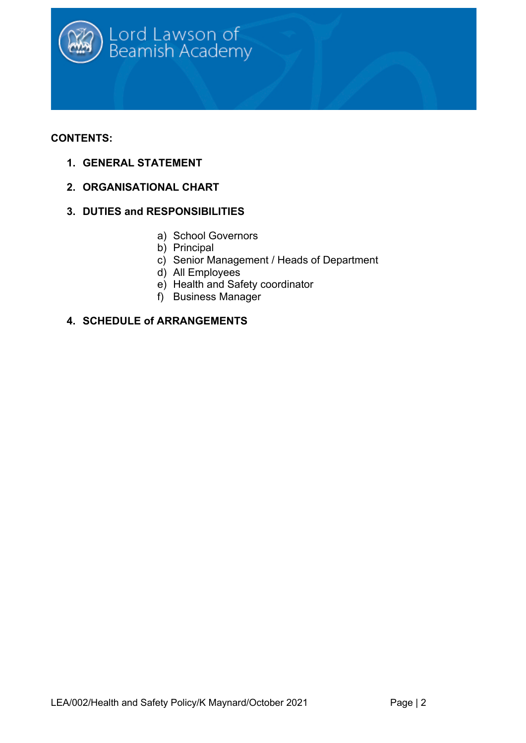

# **CONTENTS:**

- **1. GENERAL STATEMENT**
- **2. ORGANISATIONAL CHART**
- **3. DUTIES and RESPONSIBILITIES**
	- a) School Governors
	- b) Principal
	- c) Senior Management / Heads of Department
	- d) All Employees
	- e) Health and Safety coordinator
	- f) Business Manager

# **4. SCHEDULE of ARRANGEMENTS**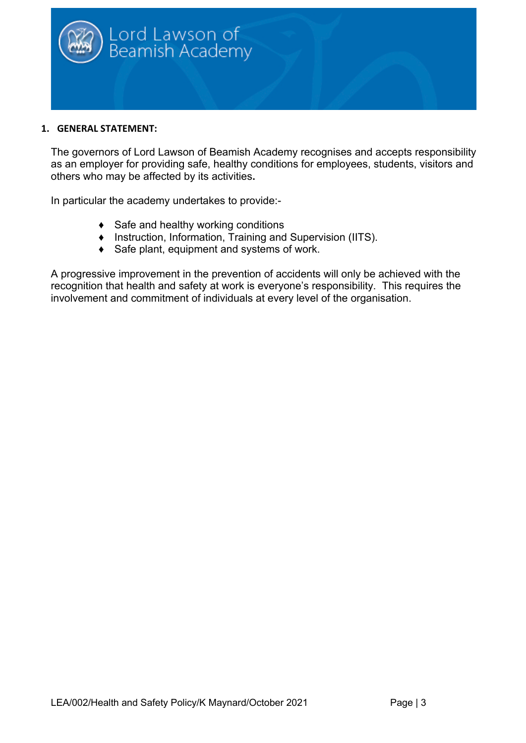

#### **1. GENERAL STATEMENT:**

The governors of Lord Lawson of Beamish Academy recognises and accepts responsibility as an employer for providing safe, healthy conditions for employees, students, visitors and others who may be affected by its activities**.**

In particular the academy undertakes to provide:-

- ♦ Safe and healthy working conditions
- ♦ Instruction, Information, Training and Supervision (IITS).
- ♦ Safe plant, equipment and systems of work.

A progressive improvement in the prevention of accidents will only be achieved with the recognition that health and safety at work is everyone's responsibility. This requires the involvement and commitment of individuals at every level of the organisation.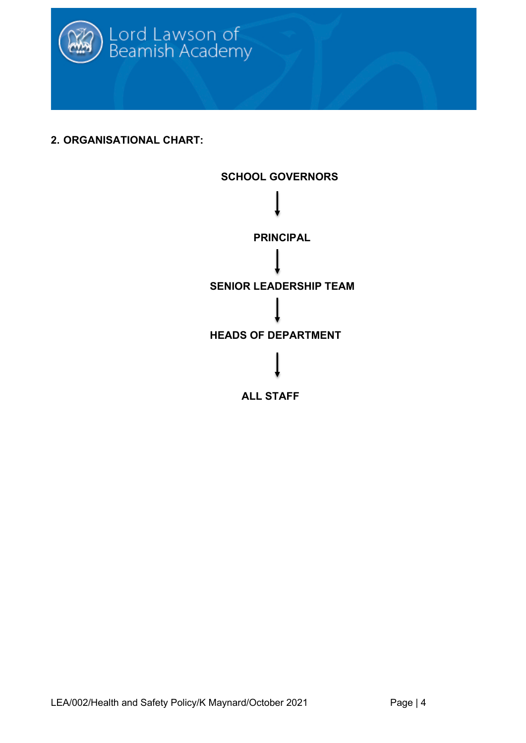

**2. ORGANISATIONAL CHART:**

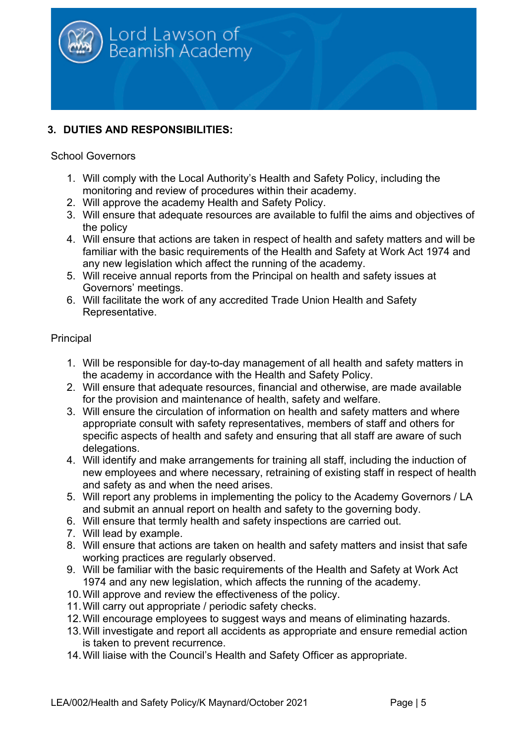

# **3. DUTIES AND RESPONSIBILITIES:**

#### School Governors

- 1. Will comply with the Local Authority's Health and Safety Policy, including the monitoring and review of procedures within their academy.
- 2. Will approve the academy Health and Safety Policy.
- 3. Will ensure that adequate resources are available to fulfil the aims and objectives of the policy
- 4. Will ensure that actions are taken in respect of health and safety matters and will be familiar with the basic requirements of the Health and Safety at Work Act 1974 and any new legislation which affect the running of the academy.
- 5. Will receive annual reports from the Principal on health and safety issues at Governors' meetings.
- 6. Will facilitate the work of any accredited Trade Union Health and Safety Representative.

#### Principal

- 1. Will be responsible for day-to-day management of all health and safety matters in the academy in accordance with the Health and Safety Policy.
- 2. Will ensure that adequate resources, financial and otherwise, are made available for the provision and maintenance of health, safety and welfare.
- 3. Will ensure the circulation of information on health and safety matters and where appropriate consult with safety representatives, members of staff and others for specific aspects of health and safety and ensuring that all staff are aware of such delegations.
- 4. Will identify and make arrangements for training all staff, including the induction of new employees and where necessary, retraining of existing staff in respect of health and safety as and when the need arises.
- 5. Will report any problems in implementing the policy to the Academy Governors / LA and submit an annual report on health and safety to the governing body.
- 6. Will ensure that termly health and safety inspections are carried out.
- 7. Will lead by example.
- 8. Will ensure that actions are taken on health and safety matters and insist that safe working practices are regularly observed.
- 9. Will be familiar with the basic requirements of the Health and Safety at Work Act 1974 and any new legislation, which affects the running of the academy.
- 10.Will approve and review the effectiveness of the policy.
- 11.Will carry out appropriate / periodic safety checks.
- 12.Will encourage employees to suggest ways and means of eliminating hazards.
- 13.Will investigate and report all accidents as appropriate and ensure remedial action is taken to prevent recurrence.
- 14.Will liaise with the Council's Health and Safety Officer as appropriate.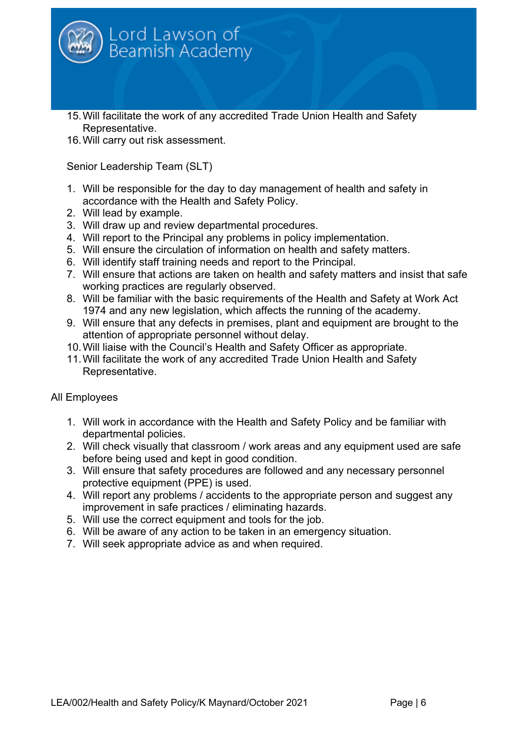

- 15.Will facilitate the work of any accredited Trade Union Health and Safety Representative.
- 16.Will carry out risk assessment.

Senior Leadership Team (SLT)

- 1. Will be responsible for the day to day management of health and safety in accordance with the Health and Safety Policy.
- 2. Will lead by example.
- 3. Will draw up and review departmental procedures.
- 4. Will report to the Principal any problems in policy implementation.
- 5. Will ensure the circulation of information on health and safety matters.
- 6. Will identify staff training needs and report to the Principal.
- 7. Will ensure that actions are taken on health and safety matters and insist that safe working practices are regularly observed.
- 8. Will be familiar with the basic requirements of the Health and Safety at Work Act 1974 and any new legislation, which affects the running of the academy.
- 9. Will ensure that any defects in premises, plant and equipment are brought to the attention of appropriate personnel without delay.
- 10.Will liaise with the Council's Health and Safety Officer as appropriate.
- 11.Will facilitate the work of any accredited Trade Union Health and Safety Representative.

# All Employees

- 1. Will work in accordance with the Health and Safety Policy and be familiar with departmental policies.
- 2. Will check visually that classroom / work areas and any equipment used are safe before being used and kept in good condition.
- 3. Will ensure that safety procedures are followed and any necessary personnel protective equipment (PPE) is used.
- 4. Will report any problems / accidents to the appropriate person and suggest any improvement in safe practices / eliminating hazards.
- 5. Will use the correct equipment and tools for the job.
- 6. Will be aware of any action to be taken in an emergency situation.
- 7. Will seek appropriate advice as and when required.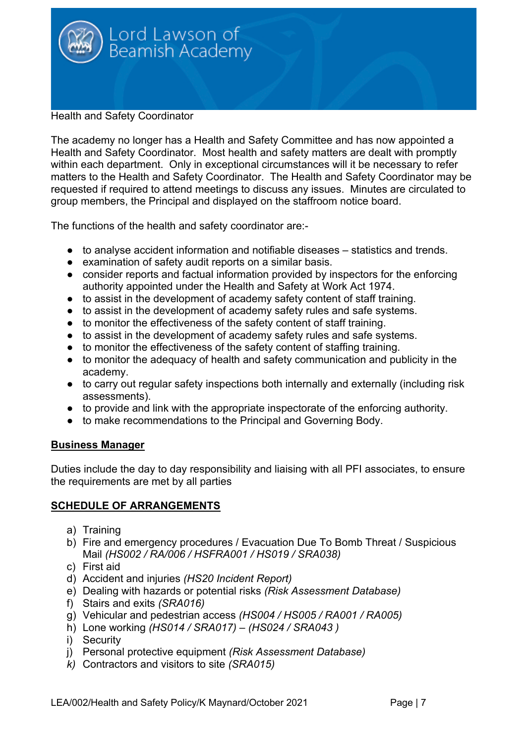

Health and Safety Coordinator

The academy no longer has a Health and Safety Committee and has now appointed a Health and Safety Coordinator. Most health and safety matters are dealt with promptly within each department. Only in exceptional circumstances will it be necessary to refer matters to the Health and Safety Coordinator. The Health and Safety Coordinator may be requested if required to attend meetings to discuss any issues. Minutes are circulated to group members, the Principal and displayed on the staffroom notice board.

The functions of the health and safety coordinator are:-

- to analyse accident information and notifiable diseases statistics and trends.
- examination of safety audit reports on a similar basis.
- consider reports and factual information provided by inspectors for the enforcing authority appointed under the Health and Safety at Work Act 1974.
- to assist in the development of academy safety content of staff training.
- to assist in the development of academy safety rules and safe systems.
- to monitor the effectiveness of the safety content of staff training.
- to assist in the development of academy safety rules and safe systems.
- to monitor the effectiveness of the safety content of staffing training.
- to monitor the adequacy of health and safety communication and publicity in the academy.
- to carry out regular safety inspections both internally and externally (including risk assessments).
- to provide and link with the appropriate inspectorate of the enforcing authority.
- to make recommendations to the Principal and Governing Body.

# **Business Manager**

Duties include the day to day responsibility and liaising with all PFI associates, to ensure the requirements are met by all parties

# **SCHEDULE OF ARRANGEMENTS**

- a) Training
- b) Fire and emergency procedures / Evacuation Due To Bomb Threat / Suspicious Mail *(HS002 / RA/006 / HSFRA001 / HS019 / SRA038)*
- c) First aid
- d) Accident and injuries *(HS20 Incident Report)*
- e) Dealing with hazards or potential risks *(Risk Assessment Database)*
- f) Stairs and exits *(SRA016)*
- g) Vehicular and pedestrian access *(HS004 / HS005 / RA001 / RA005)*
- h) Lone working *(HS014 / SRA017) – (HS024 / SRA043 )*
- i) Security
- j) Personal protective equipment *(Risk Assessment Database)*
- *k)* Contractors and visitors to site *(SRA015)*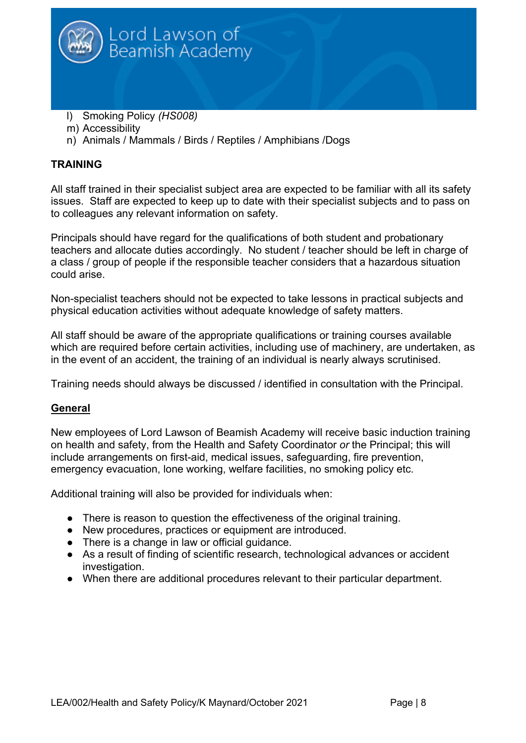

- l) Smoking Policy *(HS008)*
- m) Accessibility
- n) Animals / Mammals / Birds / Reptiles / Amphibians /Dogs

# **TRAINING**

All staff trained in their specialist subject area are expected to be familiar with all its safety issues. Staff are expected to keep up to date with their specialist subjects and to pass on to colleagues any relevant information on safety.

Principals should have regard for the qualifications of both student and probationary teachers and allocate duties accordingly. No student / teacher should be left in charge of a class / group of people if the responsible teacher considers that a hazardous situation could arise.

Non-specialist teachers should not be expected to take lessons in practical subjects and physical education activities without adequate knowledge of safety matters.

All staff should be aware of the appropriate qualifications or training courses available which are required before certain activities, including use of machinery, are undertaken, as in the event of an accident, the training of an individual is nearly always scrutinised.

Training needs should always be discussed / identified in consultation with the Principal.

# **General**

New employees of Lord Lawson of Beamish Academy will receive basic induction training on health and safety, from the Health and Safety Coordinator *or* the Principal; this will include arrangements on first-aid, medical issues, safeguarding, fire prevention, emergency evacuation, lone working, welfare facilities, no smoking policy etc.

Additional training will also be provided for individuals when:

- There is reason to question the effectiveness of the original training.
- New procedures, practices or equipment are introduced.
- There is a change in law or official guidance.
- As a result of finding of scientific research, technological advances or accident investigation.
- When there are additional procedures relevant to their particular department.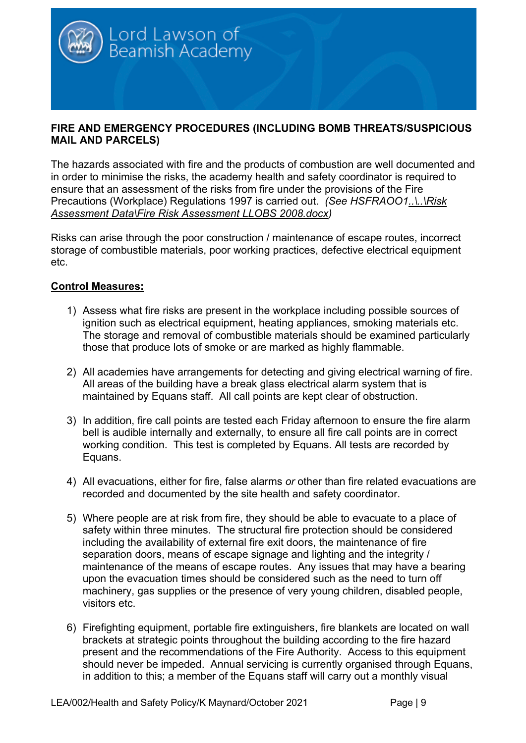

# **FIRE AND EMERGENCY PROCEDURES (INCLUDING BOMB THREATS/SUSPICIOUS MAIL AND PARCELS)**

The hazards associated with fire and the products of combustion are well documented and in order to minimise the risks, the academy health and safety coordinator is required to ensure that an assessment of the risks from fire under the provisions of the Fire Precautions (Workplace) Regulations 1997 is carried out. *(See HSFRAOO1..\..\Risk Assessment Data\Fire Risk Assessment LLOBS 2008.docx)*

Risks can arise through the poor construction / maintenance of escape routes, incorrect storage of combustible materials, poor working practices, defective electrical equipment etc.

# **Control Measures:**

- 1) Assess what fire risks are present in the workplace including possible sources of ignition such as electrical equipment, heating appliances, smoking materials etc. The storage and removal of combustible materials should be examined particularly those that produce lots of smoke or are marked as highly flammable.
- 2) All academies have arrangements for detecting and giving electrical warning of fire. All areas of the building have a break glass electrical alarm system that is maintained by Equans staff. All call points are kept clear of obstruction.
- 3) In addition, fire call points are tested each Friday afternoon to ensure the fire alarm bell is audible internally and externally, to ensure all fire call points are in correct working condition. This test is completed by Equans. All tests are recorded by Equans.
- 4) All evacuations, either for fire, false alarms *or* other than fire related evacuations are recorded and documented by the site health and safety coordinator.
- 5) Where people are at risk from fire, they should be able to evacuate to a place of safety within three minutes. The structural fire protection should be considered including the availability of external fire exit doors, the maintenance of fire separation doors, means of escape signage and lighting and the integrity / maintenance of the means of escape routes. Any issues that may have a bearing upon the evacuation times should be considered such as the need to turn off machinery, gas supplies or the presence of very young children, disabled people, visitors etc.
- 6) Firefighting equipment, portable fire extinguishers, fire blankets are located on wall brackets at strategic points throughout the building according to the fire hazard present and the recommendations of the Fire Authority. Access to this equipment should never be impeded. Annual servicing is currently organised through Equans, in addition to this; a member of the Equans staff will carry out a monthly visual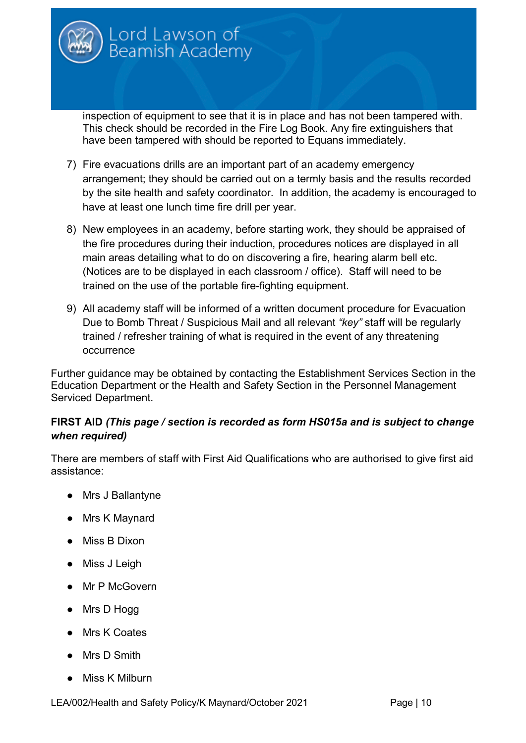inspection of equipment to see that it is in place and has not been tampered with. This check should be recorded in the Fire Log Book. Any fire extinguishers that have been tampered with should be reported to Equans immediately.

Lord Lawson of<br>Beamish Academy

- 7) Fire evacuations drills are an important part of an academy emergency arrangement; they should be carried out on a termly basis and the results recorded by the site health and safety coordinator. In addition, the academy is encouraged to have at least one lunch time fire drill per year.
- 8) New employees in an academy, before starting work, they should be appraised of the fire procedures during their induction, procedures notices are displayed in all main areas detailing what to do on discovering a fire, hearing alarm bell etc. (Notices are to be displayed in each classroom / office). Staff will need to be trained on the use of the portable fire-fighting equipment.
- 9) All academy staff will be informed of a written document procedure for Evacuation Due to Bomb Threat / Suspicious Mail and all relevant *"key"* staff will be regularly trained / refresher training of what is required in the event of any threatening occurrence

Further guidance may be obtained by contacting the Establishment Services Section in the Education Department or the Health and Safety Section in the Personnel Management Serviced Department.

# **FIRST AID** *(This page / section is recorded as form HS015a and is subject to change when required)*

There are members of staff with First Aid Qualifications who are authorised to give first aid assistance:

- Mrs J Ballantyne
- Mrs K Maynard
- Miss B Dixon
- Miss J Leigh
- Mr P McGovern
- Mrs D Hogg
- Mrs K Coates
- Mrs D Smith
- Miss K Milburn

LEA/002/Health and Safety Policy/K Maynard/October 2021 Page | 10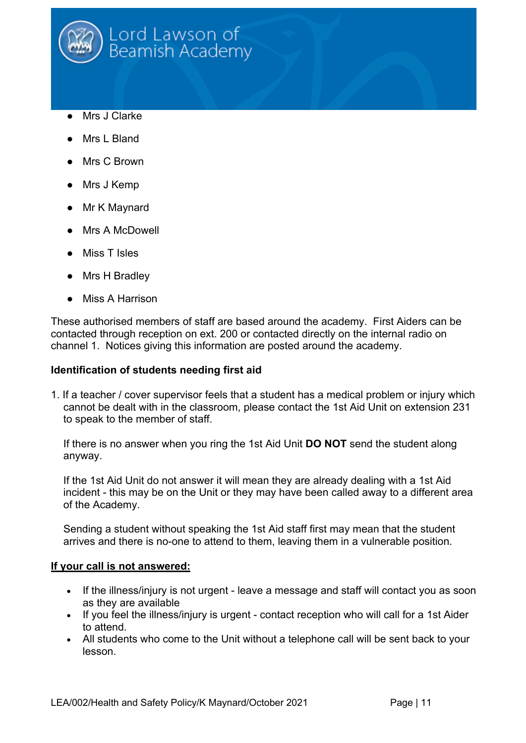

- Mrs J Clarke
- Mrs L Bland
- Mrs C Brown
- Mrs J Kemp
- Mr K Maynard
- Mrs A McDowell
- Miss T Isles
- Mrs H Bradley
- Miss A Harrison

These authorised members of staff are based around the academy. First Aiders can be contacted through reception on ext. 200 or contacted directly on the internal radio on channel 1. Notices giving this information are posted around the academy.

#### **Identification of students needing first aid**

1. If a teacher / cover supervisor feels that a student has a medical problem or injury which cannot be dealt with in the classroom, please contact the 1st Aid Unit on extension 231 to speak to the member of staff.

If there is no answer when you ring the 1st Aid Unit **DO NOT** send the student along anyway.

If the 1st Aid Unit do not answer it will mean they are already dealing with a 1st Aid incident - this may be on the Unit or they may have been called away to a different area of the Academy.

Sending a student without speaking the 1st Aid staff first may mean that the student arrives and there is no-one to attend to them, leaving them in a vulnerable position.

#### **If your call is not answered:**

- If the illness/injury is not urgent leave a message and staff will contact you as soon as they are available
- If you feel the illness/injury is urgent contact reception who will call for a 1st Aider to attend.
- All students who come to the Unit without a telephone call will be sent back to your lesson.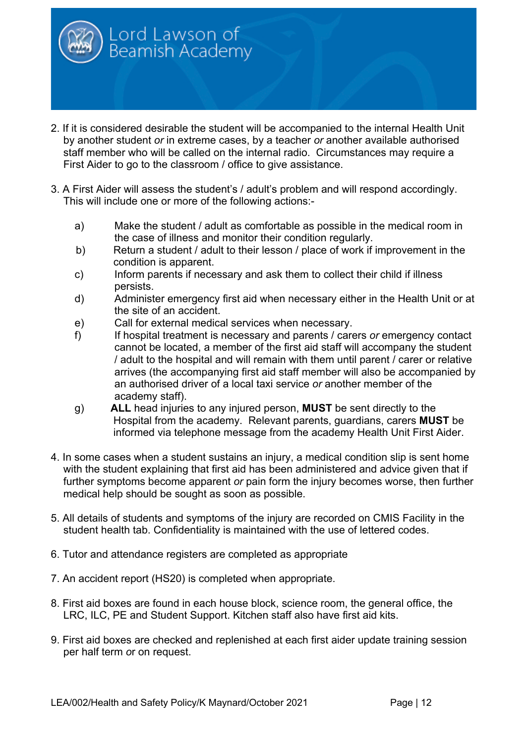

- 2. If it is considered desirable the student will be accompanied to the internal Health Unit by another student *or* in extreme cases, by a teacher *or* another available authorised staff member who will be called on the internal radio. Circumstances may require a First Aider to go to the classroom / office to give assistance.
- 3. A First Aider will assess the student's / adult's problem and will respond accordingly. This will include one or more of the following actions:
	- a) Make the student / adult as comfortable as possible in the medical room in the case of illness and monitor their condition regularly.
	- b) Return a student / adult to their lesson / place of work if improvement in the condition is apparent.
	- c) Inform parents if necessary and ask them to collect their child if illness persists.
	- d) Administer emergency first aid when necessary either in the Health Unit or at the site of an accident.
	- e) Call for external medical services when necessary.
	- f) If hospital treatment is necessary and parents / carers *or* emergency contact cannot be located, a member of the first aid staff will accompany the student / adult to the hospital and will remain with them until parent / carer or relative arrives (the accompanying first aid staff member will also be accompanied by an authorised driver of a local taxi service *or* another member of the academy staff).
	- g) **ALL** head injuries to any injured person, **MUST** be sent directly to the Hospital from the academy. Relevant parents, guardians, carers **MUST** be informed via telephone message from the academy Health Unit First Aider.
- 4. In some cases when a student sustains an injury, a medical condition slip is sent home with the student explaining that first aid has been administered and advice given that if further symptoms become apparent *or* pain form the injury becomes worse, then further medical help should be sought as soon as possible.
- 5. All details of students and symptoms of the injury are recorded on CMIS Facility in the student health tab. Confidentiality is maintained with the use of lettered codes.
- 6. Tutor and attendance registers are completed as appropriate
- 7. An accident report (HS20) is completed when appropriate.
- 8. First aid boxes are found in each house block, science room, the general office, the LRC, ILC, PE and Student Support. Kitchen staff also have first aid kits.
- 9. First aid boxes are checked and replenished at each first aider update training session per half term *o*r on request.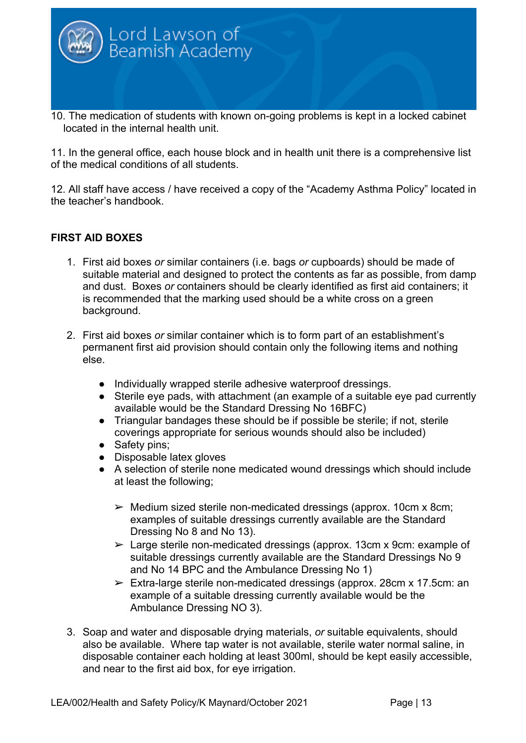

located in the internal health unit.

11. In the general office, each house block and in health unit there is a comprehensive list of the medical conditions of all students.

12. All staff have access / have received a copy of the "Academy Asthma Policy" located in the teacher's handbook.

# **FIRST AID BOXES**

- 1. First aid boxes *or* similar containers (i.e. bags *or* cupboards) should be made of suitable material and designed to protect the contents as far as possible, from damp and dust. Boxes *or* containers should be clearly identified as first aid containers; it is recommended that the marking used should be a white cross on a green background.
- 2. First aid boxes *or* similar container which is to form part of an establishment's permanent first aid provision should contain only the following items and nothing else.
	- Individually wrapped sterile adhesive waterproof dressings.
	- Sterile eye pads, with attachment (an example of a suitable eye pad currently available would be the Standard Dressing No 16BFC)
	- Triangular bandages these should be if possible be sterile; if not, sterile coverings appropriate for serious wounds should also be included)
	- Safety pins;
	- Disposable latex gloves
	- A selection of sterile none medicated wound dressings which should include at least the following;
		- $\triangleright$  Medium sized sterile non-medicated dressings (approx. 10cm x 8cm; examples of suitable dressings currently available are the Standard Dressing No 8 and No 13).
		- ➢ Large sterile non-medicated dressings (approx. 13cm x 9cm: example of suitable dressings currently available are the Standard Dressings No 9 and No 14 BPC and the Ambulance Dressing No 1)
		- $\triangleright$  Extra-large sterile non-medicated dressings (approx. 28cm x 17.5cm: an example of a suitable dressing currently available would be the Ambulance Dressing NO 3).
- 3. Soap and water and disposable drying materials, *or* suitable equivalents, should also be available. Where tap water is not available, sterile water normal saline, in disposable container each holding at least 300ml, should be kept easily accessible, and near to the first aid box, for eye irrigation.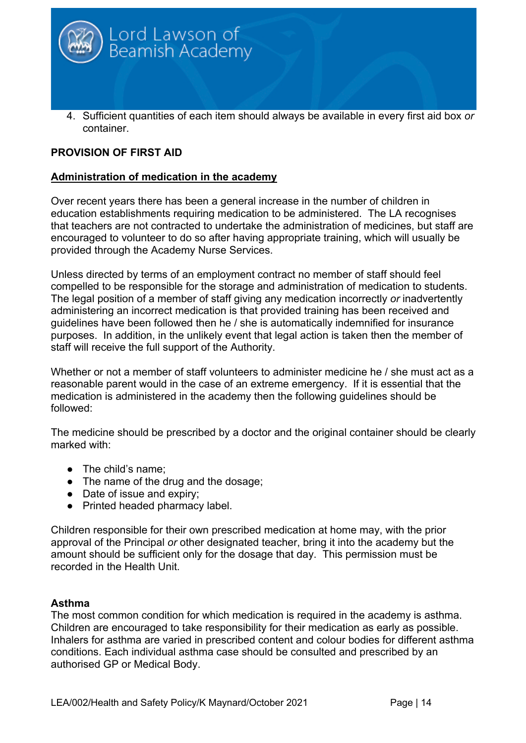

# **PROVISION OF FIRST AID**

# **Administration of medication in the academy**

Over recent years there has been a general increase in the number of children in education establishments requiring medication to be administered. The LA recognises that teachers are not contracted to undertake the administration of medicines, but staff are encouraged to volunteer to do so after having appropriate training, which will usually be provided through the Academy Nurse Services.

Unless directed by terms of an employment contract no member of staff should feel compelled to be responsible for the storage and administration of medication to students. The legal position of a member of staff giving any medication incorrectly *or* inadvertently administering an incorrect medication is that provided training has been received and guidelines have been followed then he / she is automatically indemnified for insurance purposes. In addition, in the unlikely event that legal action is taken then the member of staff will receive the full support of the Authority.

Whether or not a member of staff volunteers to administer medicine he / she must act as a reasonable parent would in the case of an extreme emergency. If it is essential that the medication is administered in the academy then the following guidelines should be followed:

The medicine should be prescribed by a doctor and the original container should be clearly marked with:

- The child's name:
- The name of the drug and the dosage;
- Date of issue and expiry;
- Printed headed pharmacy label.

Children responsible for their own prescribed medication at home may, with the prior approval of the Principal *or* other designated teacher, bring it into the academy but the amount should be sufficient only for the dosage that day. This permission must be recorded in the Health Unit.

# **Asthma**

The most common condition for which medication is required in the academy is asthma. Children are encouraged to take responsibility for their medication as early as possible. Inhalers for asthma are varied in prescribed content and colour bodies for different asthma conditions. Each individual asthma case should be consulted and prescribed by an authorised GP or Medical Body.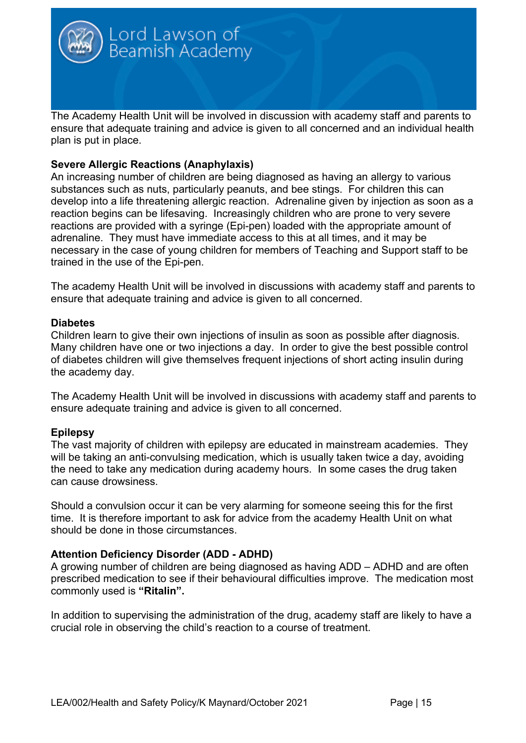

ensure that adequate training and advice is given to all concerned and an individual health plan is put in place.

# **Severe Allergic Reactions (Anaphylaxis)**

An increasing number of children are being diagnosed as having an allergy to various substances such as nuts, particularly peanuts, and bee stings. For children this can develop into a life threatening allergic reaction. Adrenaline given by injection as soon as a reaction begins can be lifesaving. Increasingly children who are prone to very severe reactions are provided with a syringe (Epi-pen) loaded with the appropriate amount of adrenaline. They must have immediate access to this at all times, and it may be necessary in the case of young children for members of Teaching and Support staff to be trained in the use of the Epi-pen.

The academy Health Unit will be involved in discussions with academy staff and parents to ensure that adequate training and advice is given to all concerned.

#### **Diabetes**

Children learn to give their own injections of insulin as soon as possible after diagnosis. Many children have one or two injections a day. In order to give the best possible control of diabetes children will give themselves frequent injections of short acting insulin during the academy day.

The Academy Health Unit will be involved in discussions with academy staff and parents to ensure adequate training and advice is given to all concerned.

# **Epilepsy**

The vast majority of children with epilepsy are educated in mainstream academies. They will be taking an anti-convulsing medication, which is usually taken twice a day, avoiding the need to take any medication during academy hours. In some cases the drug taken can cause drowsiness.

Should a convulsion occur it can be very alarming for someone seeing this for the first time. It is therefore important to ask for advice from the academy Health Unit on what should be done in those circumstances.

# **Attention Deficiency Disorder (ADD - ADHD)**

A growing number of children are being diagnosed as having ADD – ADHD and are often prescribed medication to see if their behavioural difficulties improve. The medication most commonly used is **"Ritalin".**

In addition to supervising the administration of the drug, academy staff are likely to have a crucial role in observing the child's reaction to a course of treatment.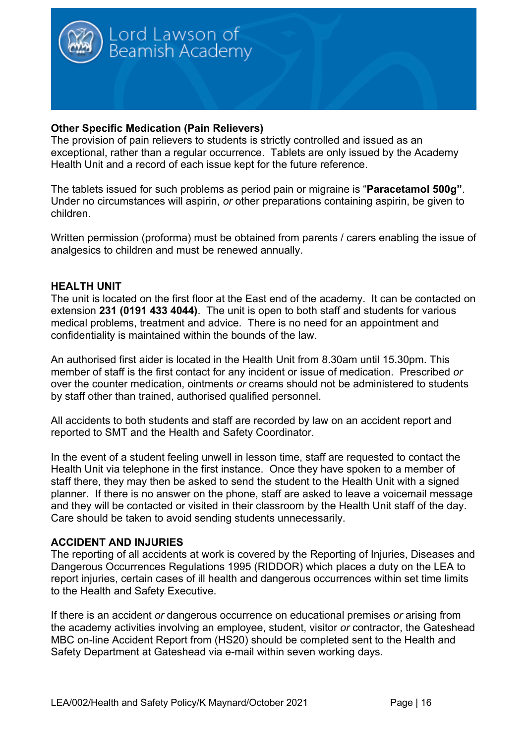

# **Other Specific Medication (Pain Relievers)**

The provision of pain relievers to students is strictly controlled and issued as an exceptional, rather than a regular occurrence. Tablets are only issued by the Academy Health Unit and a record of each issue kept for the future reference.

The tablets issued for such problems as period pain or migraine is "**Paracetamol 500g"**. Under no circumstances will aspirin, *or* other preparations containing aspirin, be given to children.

Written permission (proforma) must be obtained from parents / carers enabling the issue of analgesics to children and must be renewed annually.

#### **HEALTH UNIT**

The unit is located on the first floor at the East end of the academy. It can be contacted on extension **231 (0191 433 4044)**. The unit is open to both staff and students for various medical problems, treatment and advice. There is no need for an appointment and confidentiality is maintained within the bounds of the law.

An authorised first aider is located in the Health Unit from 8.30am until 15.30pm. This member of staff is the first contact for any incident or issue of medication. Prescribed *or* over the counter medication, ointments *or* creams should not be administered to students by staff other than trained, authorised qualified personnel.

All accidents to both students and staff are recorded by law on an accident report and reported to SMT and the Health and Safety Coordinator.

In the event of a student feeling unwell in lesson time, staff are requested to contact the Health Unit via telephone in the first instance. Once they have spoken to a member of staff there, they may then be asked to send the student to the Health Unit with a signed planner. If there is no answer on the phone, staff are asked to leave a voicemail message and they will be contacted or visited in their classroom by the Health Unit staff of the day. Care should be taken to avoid sending students unnecessarily.

# **ACCIDENT AND INJURIES**

The reporting of all accidents at work is covered by the Reporting of Injuries, Diseases and Dangerous Occurrences Regulations 1995 (RIDDOR) which places a duty on the LEA to report injuries, certain cases of ill health and dangerous occurrences within set time limits to the Health and Safety Executive.

If there is an accident *or* dangerous occurrence on educational premises *or* arising from the academy activities involving an employee, student, visitor *or* contractor, the Gateshead MBC on-line Accident Report from (HS20) should be completed sent to the Health and Safety Department at Gateshead via e-mail within seven working days.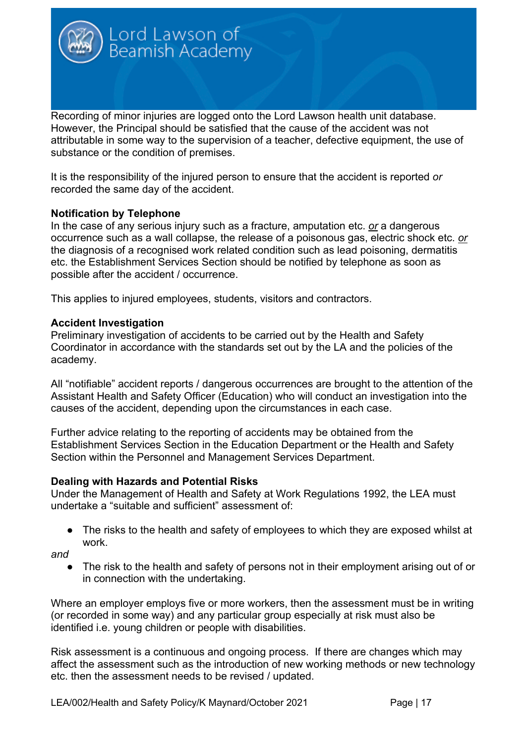Recording of minor injuries are logged onto the Lord Lawson health unit database. However, the Principal should be satisfied that the cause of the accident was not attributable in some way to the supervision of a teacher, defective equipment, the use of substance or the condition of premises.

It is the responsibility of the injured person to ensure that the accident is reported *or* recorded the same day of the accident.

#### **Notification by Telephone**

In the case of any serious injury such as a fracture, amputation etc. *or* a dangerous occurrence such as a wall collapse, the release of a poisonous gas, electric shock etc. *or* the diagnosis of a recognised work related condition such as lead poisoning, dermatitis etc. the Establishment Services Section should be notified by telephone as soon as possible after the accident / occurrence.

This applies to injured employees, students, visitors and contractors.

Lord Lawson of<br>Beamish Academy

#### **Accident Investigation**

Preliminary investigation of accidents to be carried out by the Health and Safety Coordinator in accordance with the standards set out by the LA and the policies of the academy.

All "notifiable" accident reports / dangerous occurrences are brought to the attention of the Assistant Health and Safety Officer (Education) who will conduct an investigation into the causes of the accident, depending upon the circumstances in each case.

Further advice relating to the reporting of accidents may be obtained from the Establishment Services Section in the Education Department or the Health and Safety Section within the Personnel and Management Services Department.

#### **Dealing with Hazards and Potential Risks**

Under the Management of Health and Safety at Work Regulations 1992, the LEA must undertake a "suitable and sufficient" assessment of:

The risks to the health and safety of employees to which they are exposed whilst at work.

*and* 

The risk to the health and safety of persons not in their employment arising out of or in connection with the undertaking.

Where an employer employs five or more workers, then the assessment must be in writing (or recorded in some way) and any particular group especially at risk must also be identified i.e. young children or people with disabilities.

Risk assessment is a continuous and ongoing process. If there are changes which may affect the assessment such as the introduction of new working methods or new technology etc. then the assessment needs to be revised / updated.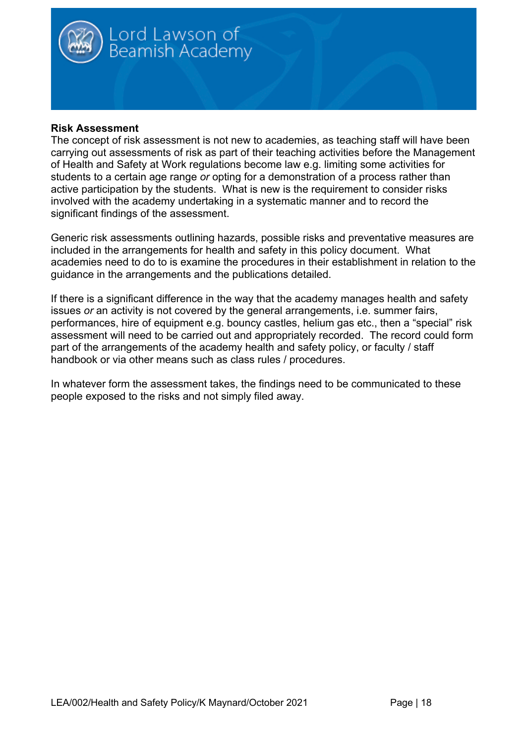

# **Risk Assessment**

The concept of risk assessment is not new to academies, as teaching staff will have been carrying out assessments of risk as part of their teaching activities before the Management of Health and Safety at Work regulations become law e.g. limiting some activities for students to a certain age range *or* opting for a demonstration of a process rather than active participation by the students. What is new is the requirement to consider risks involved with the academy undertaking in a systematic manner and to record the significant findings of the assessment.

Generic risk assessments outlining hazards, possible risks and preventative measures are included in the arrangements for health and safety in this policy document. What academies need to do to is examine the procedures in their establishment in relation to the guidance in the arrangements and the publications detailed.

If there is a significant difference in the way that the academy manages health and safety issues *or* an activity is not covered by the general arrangements, i.e. summer fairs, performances, hire of equipment e.g. bouncy castles, helium gas etc., then a "special" risk assessment will need to be carried out and appropriately recorded. The record could form part of the arrangements of the academy health and safety policy, or faculty / staff handbook or via other means such as class rules / procedures.

In whatever form the assessment takes, the findings need to be communicated to these people exposed to the risks and not simply filed away.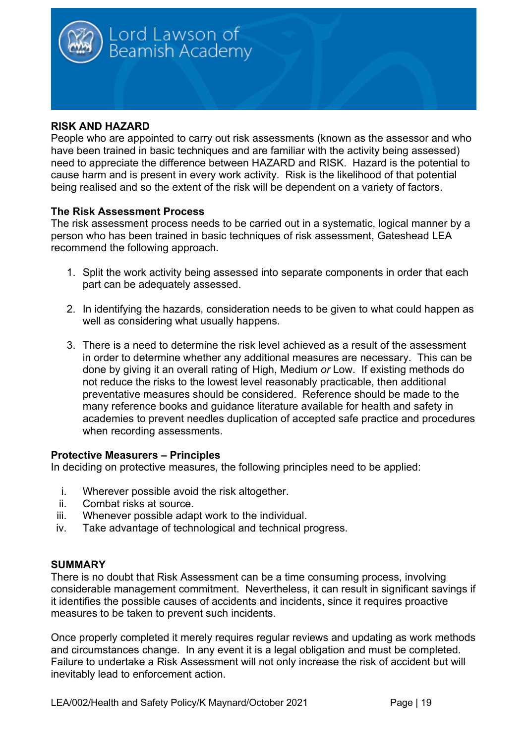

# **RISK AND HAZARD**

People who are appointed to carry out risk assessments (known as the assessor and who have been trained in basic techniques and are familiar with the activity being assessed) need to appreciate the difference between HAZARD and RISK. Hazard is the potential to cause harm and is present in every work activity. Risk is the likelihood of that potential being realised and so the extent of the risk will be dependent on a variety of factors.

#### **The Risk Assessment Process**

The risk assessment process needs to be carried out in a systematic, logical manner by a person who has been trained in basic techniques of risk assessment, Gateshead LEA recommend the following approach.

- 1. Split the work activity being assessed into separate components in order that each part can be adequately assessed.
- 2. In identifying the hazards, consideration needs to be given to what could happen as well as considering what usually happens.
- 3. There is a need to determine the risk level achieved as a result of the assessment in order to determine whether any additional measures are necessary. This can be done by giving it an overall rating of High, Medium *or* Low. If existing methods do not reduce the risks to the lowest level reasonably practicable, then additional preventative measures should be considered. Reference should be made to the many reference books and guidance literature available for health and safety in academies to prevent needles duplication of accepted safe practice and procedures when recording assessments.

#### **Protective Measurers – Principles**

In deciding on protective measures, the following principles need to be applied:

- i. Wherever possible avoid the risk altogether.
- ii. Combat risks at source.
- iii. Whenever possible adapt work to the individual.
- iv. Take advantage of technological and technical progress.

#### **SUMMARY**

There is no doubt that Risk Assessment can be a time consuming process, involving considerable management commitment. Nevertheless, it can result in significant savings if it identifies the possible causes of accidents and incidents, since it requires proactive measures to be taken to prevent such incidents.

Once properly completed it merely requires regular reviews and updating as work methods and circumstances change. In any event it is a legal obligation and must be completed. Failure to undertake a Risk Assessment will not only increase the risk of accident but will inevitably lead to enforcement action.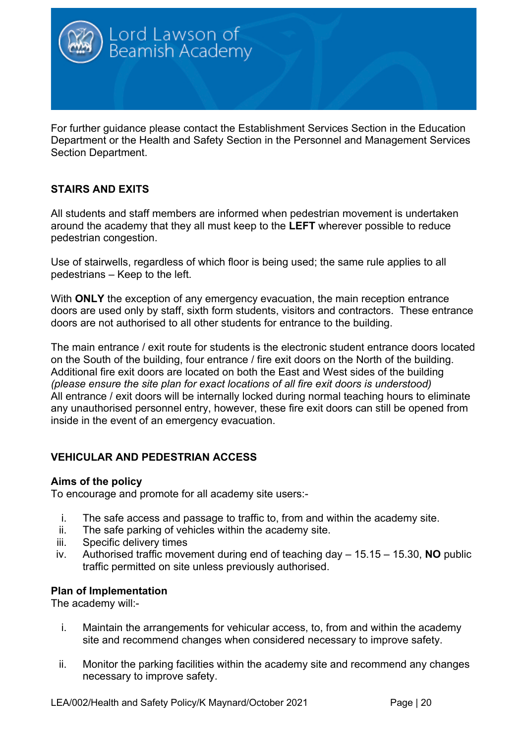

For further guidance please contact the Establishment Services Section in the Education Department or the Health and Safety Section in the Personnel and Management Services Section Department.

# **STAIRS AND EXITS**

All students and staff members are informed when pedestrian movement is undertaken around the academy that they all must keep to the **LEFT** wherever possible to reduce pedestrian congestion.

Use of stairwells, regardless of which floor is being used; the same rule applies to all pedestrians – Keep to the left.

With **ONLY** the exception of any emergency evacuation, the main reception entrance doors are used only by staff, sixth form students, visitors and contractors. These entrance doors are not authorised to all other students for entrance to the building.

The main entrance / exit route for students is the electronic student entrance doors located on the South of the building, four entrance / fire exit doors on the North of the building. Additional fire exit doors are located on both the East and West sides of the building *(please ensure the site plan for exact locations of all fire exit doors is understood)* All entrance / exit doors will be internally locked during normal teaching hours to eliminate any unauthorised personnel entry, however, these fire exit doors can still be opened from inside in the event of an emergency evacuation.

# **VEHICULAR AND PEDESTRIAN ACCESS**

# **Aims of the policy**

To encourage and promote for all academy site users:-

- i. The safe access and passage to traffic to, from and within the academy site.
- ii. The safe parking of vehicles within the academy site.
- iii. Specific delivery times
- iv. Authorised traffic movement during end of teaching day 15.15 15.30, **NO** public traffic permitted on site unless previously authorised.

# **Plan of Implementation**

The academy will:-

- i. Maintain the arrangements for vehicular access, to, from and within the academy site and recommend changes when considered necessary to improve safety.
- ii. Monitor the parking facilities within the academy site and recommend any changes necessary to improve safety.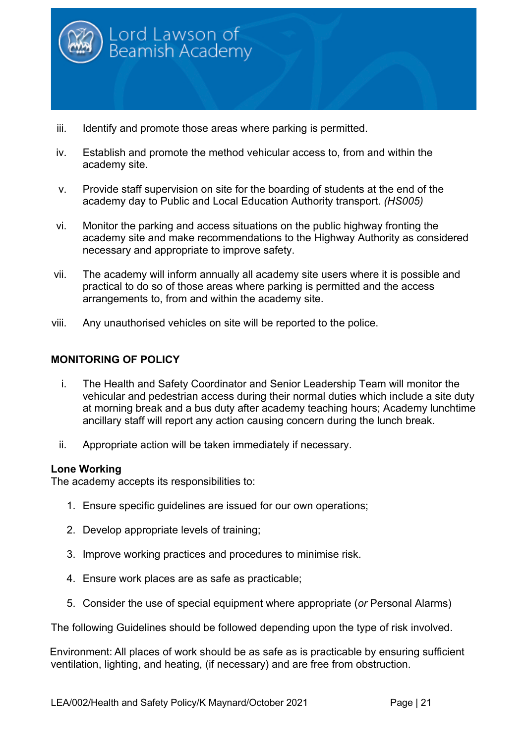

- iii. Identify and promote those areas where parking is permitted.
- iv. Establish and promote the method vehicular access to, from and within the academy site.
- v. Provide staff supervision on site for the boarding of students at the end of the academy day to Public and Local Education Authority transport. *(HS005)*
- vi. Monitor the parking and access situations on the public highway fronting the academy site and make recommendations to the Highway Authority as considered necessary and appropriate to improve safety.
- vii. The academy will inform annually all academy site users where it is possible and practical to do so of those areas where parking is permitted and the access arrangements to, from and within the academy site.
- viii. Any unauthorised vehicles on site will be reported to the police.

# **MONITORING OF POLICY**

- i. The Health and Safety Coordinator and Senior Leadership Team will monitor the vehicular and pedestrian access during their normal duties which include a site duty at morning break and a bus duty after academy teaching hours; Academy lunchtime ancillary staff will report any action causing concern during the lunch break.
- ii. Appropriate action will be taken immediately if necessary.

#### **Lone Working**

The academy accepts its responsibilities to:

- 1. Ensure specific guidelines are issued for our own operations;
- 2. Develop appropriate levels of training;
- 3. Improve working practices and procedures to minimise risk.
- 4. Ensure work places are as safe as practicable;
- 5. Consider the use of special equipment where appropriate (*or* Personal Alarms)

The following Guidelines should be followed depending upon the type of risk involved.

Environment: All places of work should be as safe as is practicable by ensuring sufficient ventilation, lighting, and heating, (if necessary) and are free from obstruction.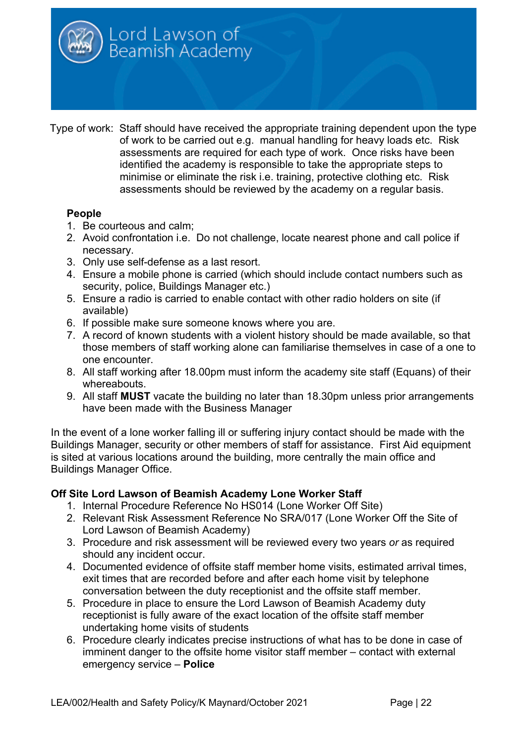

Type of work: Staff should have received the appropriate training dependent upon the type of work to be carried out e.g. manual handling for heavy loads etc. Risk assessments are required for each type of work. Once risks have been identified the academy is responsible to take the appropriate steps to minimise or eliminate the risk i.e. training, protective clothing etc. Risk assessments should be reviewed by the academy on a regular basis.

# **People**

- 1. Be courteous and calm;
- 2. Avoid confrontation i.e. Do not challenge, locate nearest phone and call police if necessary.
- 3. Only use self-defense as a last resort.
- 4. Ensure a mobile phone is carried (which should include contact numbers such as security, police, Buildings Manager etc.)
- 5. Ensure a radio is carried to enable contact with other radio holders on site (if available)
- 6. If possible make sure someone knows where you are.
- 7. A record of known students with a violent history should be made available, so that those members of staff working alone can familiarise themselves in case of a one to one encounter.
- 8. All staff working after 18.00pm must inform the academy site staff (Equans) of their whereabouts.
- 9. All staff **MUST** vacate the building no later than 18.30pm unless prior arrangements have been made with the Business Manager

In the event of a lone worker falling ill or suffering injury contact should be made with the Buildings Manager, security or other members of staff for assistance. First Aid equipment is sited at various locations around the building, more centrally the main office and Buildings Manager Office.

# **Off Site Lord Lawson of Beamish Academy Lone Worker Staff**

- 1. Internal Procedure Reference No HS014 (Lone Worker Off Site)
- 2. Relevant Risk Assessment Reference No SRA/017 (Lone Worker Off the Site of Lord Lawson of Beamish Academy)
- 3. Procedure and risk assessment will be reviewed every two years *or* as required should any incident occur.
- 4. Documented evidence of offsite staff member home visits, estimated arrival times, exit times that are recorded before and after each home visit by telephone conversation between the duty receptionist and the offsite staff member.
- 5. Procedure in place to ensure the Lord Lawson of Beamish Academy duty receptionist is fully aware of the exact location of the offsite staff member undertaking home visits of students
- 6. Procedure clearly indicates precise instructions of what has to be done in case of imminent danger to the offsite home visitor staff member – contact with external emergency service – **Police**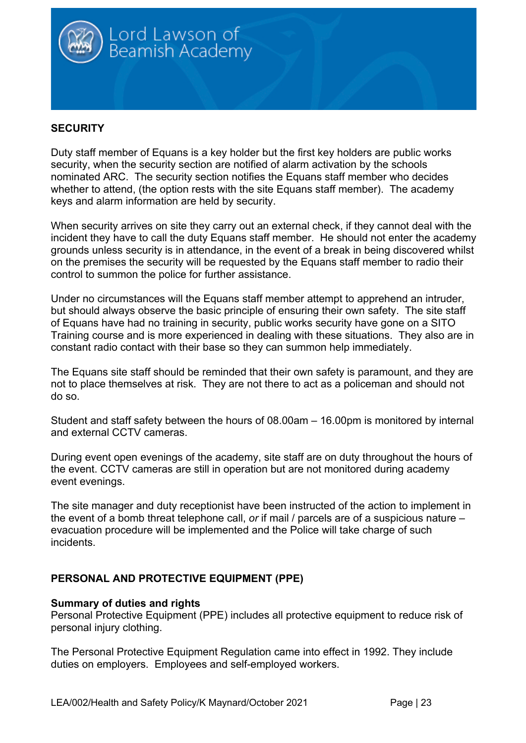

# **SECURITY**

Duty staff member of Equans is a key holder but the first key holders are public works security, when the security section are notified of alarm activation by the schools nominated ARC. The security section notifies the Equans staff member who decides whether to attend, (the option rests with the site Equans staff member). The academy keys and alarm information are held by security.

When security arrives on site they carry out an external check, if they cannot deal with the incident they have to call the duty Equans staff member. He should not enter the academy grounds unless security is in attendance, in the event of a break in being discovered whilst on the premises the security will be requested by the Equans staff member to radio their control to summon the police for further assistance.

Under no circumstances will the Equans staff member attempt to apprehend an intruder, but should always observe the basic principle of ensuring their own safety. The site staff of Equans have had no training in security, public works security have gone on a SITO Training course and is more experienced in dealing with these situations. They also are in constant radio contact with their base so they can summon help immediately.

The Equans site staff should be reminded that their own safety is paramount, and they are not to place themselves at risk. They are not there to act as a policeman and should not do so.

Student and staff safety between the hours of 08.00am – 16.00pm is monitored by internal and external CCTV cameras.

During event open evenings of the academy, site staff are on duty throughout the hours of the event. CCTV cameras are still in operation but are not monitored during academy event evenings.

The site manager and duty receptionist have been instructed of the action to implement in the event of a bomb threat telephone call, *or* if mail / parcels are of a suspicious nature – evacuation procedure will be implemented and the Police will take charge of such incidents.

# **PERSONAL AND PROTECTIVE EQUIPMENT (PPE)**

#### **Summary of duties and rights**

Personal Protective Equipment (PPE) includes all protective equipment to reduce risk of personal injury clothing.

The Personal Protective Equipment Regulation came into effect in 1992. They include duties on employers. Employees and self-employed workers.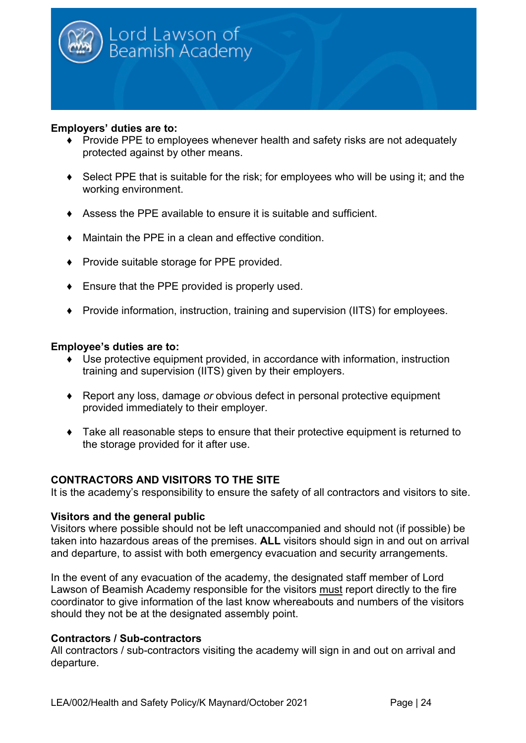

#### **Employers' duties are to:**

- ♦ Provide PPE to employees whenever health and safety risks are not adequately protected against by other means.
- ♦ Select PPE that is suitable for the risk; for employees who will be using it; and the working environment.
- ♦ Assess the PPE available to ensure it is suitable and sufficient.
- ♦ Maintain the PPE in a clean and effective condition.
- ♦ Provide suitable storage for PPE provided.
- ♦ Ensure that the PPE provided is properly used.
- ♦ Provide information, instruction, training and supervision (IITS) for employees.

#### **Employee's duties are to:**

- ♦ Use protective equipment provided, in accordance with information, instruction training and supervision (IITS) given by their employers.
- ♦ Report any loss, damage *or* obvious defect in personal protective equipment provided immediately to their employer.
- ♦ Take all reasonable steps to ensure that their protective equipment is returned to the storage provided for it after use.

# **CONTRACTORS AND VISITORS TO THE SITE**

It is the academy's responsibility to ensure the safety of all contractors and visitors to site.

# **Visitors and the general public**

Visitors where possible should not be left unaccompanied and should not (if possible) be taken into hazardous areas of the premises. **ALL** visitors should sign in and out on arrival and departure, to assist with both emergency evacuation and security arrangements.

In the event of any evacuation of the academy, the designated staff member of Lord Lawson of Beamish Academy responsible for the visitors must report directly to the fire coordinator to give information of the last know whereabouts and numbers of the visitors should they not be at the designated assembly point.

# **Contractors / Sub-contractors**

All contractors / sub-contractors visiting the academy will sign in and out on arrival and departure.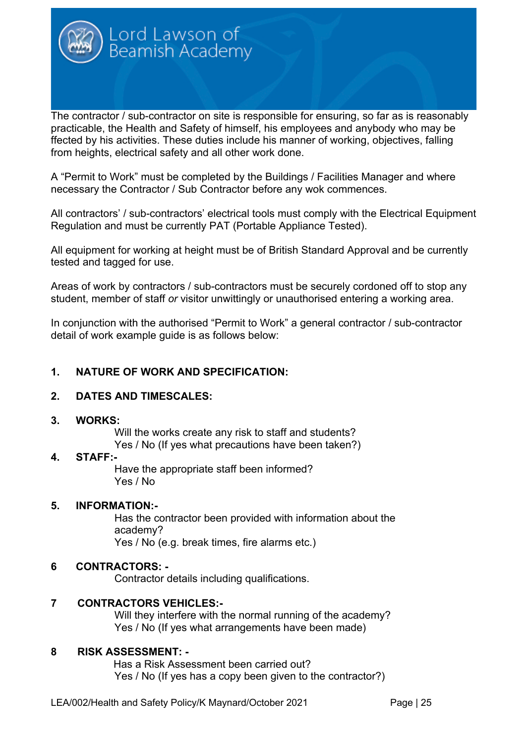

The contractor / sub-contractor on site is responsible for ensuring, so far as is reasonably practicable, the Health and Safety of himself, his employees and anybody who may be ffected by his activities. These duties include his manner of working, objectives, falling from heights, electrical safety and all other work done.

A "Permit to Work" must be completed by the Buildings / Facilities Manager and where necessary the Contractor / Sub Contractor before any wok commences.

All contractors' / sub-contractors' electrical tools must comply with the Electrical Equipment Regulation and must be currently PAT (Portable Appliance Tested).

All equipment for working at height must be of British Standard Approval and be currently tested and tagged for use.

Areas of work by contractors / sub-contractors must be securely cordoned off to stop any student, member of staff *or* visitor unwittingly or unauthorised entering a working area.

In conjunction with the authorised "Permit to Work" a general contractor / sub-contractor detail of work example guide is as follows below:

# **1. NATURE OF WORK AND SPECIFICATION:**

# **2. DATES AND TIMESCALES:**

#### **3. WORKS:**

Will the works create any risk to staff and students? Yes / No (If yes what precautions have been taken?)

#### **4. STAFF:-**

Have the appropriate staff been informed? Yes / No

# **5. INFORMATION:-**

Has the contractor been provided with information about the academy? Yes / No (e.g. break times, fire alarms etc.)

# **6 CONTRACTORS: -**

Contractor details including qualifications.

# **7 CONTRACTORS VEHICLES:-**

Will they interfere with the normal running of the academy? Yes / No (If yes what arrangements have been made)

# **8 RISK ASSESSMENT: -**

 Has a Risk Assessment been carried out? Yes / No (If yes has a copy been given to the contractor?)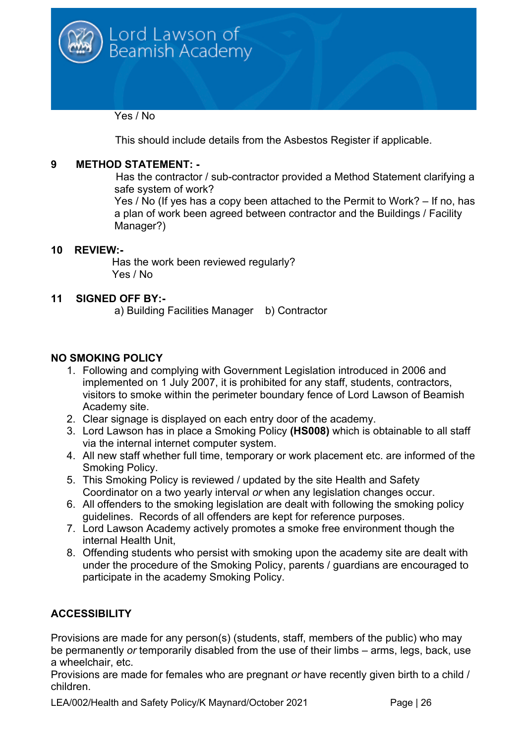

Yes / No

This should include details from the Asbestos Register if applicable.

# **9 METHOD STATEMENT: -**

Has the contractor / sub-contractor provided a Method Statement clarifying a safe system of work?

Yes / No (If yes has a copy been attached to the Permit to Work? – If no, has a plan of work been agreed between contractor and the Buildings / Facility Manager?)

# **10 REVIEW:-**

 Has the work been reviewed regularly? Yes / No

# **11 SIGNED OFF BY:-**

a) Building Facilities Manager b) Contractor

# **NO SMOKING POLICY**

- 1. Following and complying with Government Legislation introduced in 2006 and implemented on 1 July 2007, it is prohibited for any staff, students, contractors, visitors to smoke within the perimeter boundary fence of Lord Lawson of Beamish Academy site.
- 2. Clear signage is displayed on each entry door of the academy.
- 3. Lord Lawson has in place a Smoking Policy **(HS008)** which is obtainable to all staff via the internal internet computer system.
- 4. All new staff whether full time, temporary or work placement etc. are informed of the Smoking Policy.
- 5. This Smoking Policy is reviewed / updated by the site Health and Safety Coordinator on a two yearly interval *or* when any legislation changes occur.
- 6. All offenders to the smoking legislation are dealt with following the smoking policy guidelines. Records of all offenders are kept for reference purposes.
- 7. Lord Lawson Academy actively promotes a smoke free environment though the internal Health Unit,
- 8. Offending students who persist with smoking upon the academy site are dealt with under the procedure of the Smoking Policy, parents / guardians are encouraged to participate in the academy Smoking Policy.

# **ACCESSIBILITY**

Provisions are made for any person(s) (students, staff, members of the public) who may be permanently *or* temporarily disabled from the use of their limbs – arms, legs, back, use a wheelchair, etc.

Provisions are made for females who are pregnant *or* have recently given birth to a child / children.

LEA/002/Health and Safety Policy/K Maynard/October 2021 Page | 26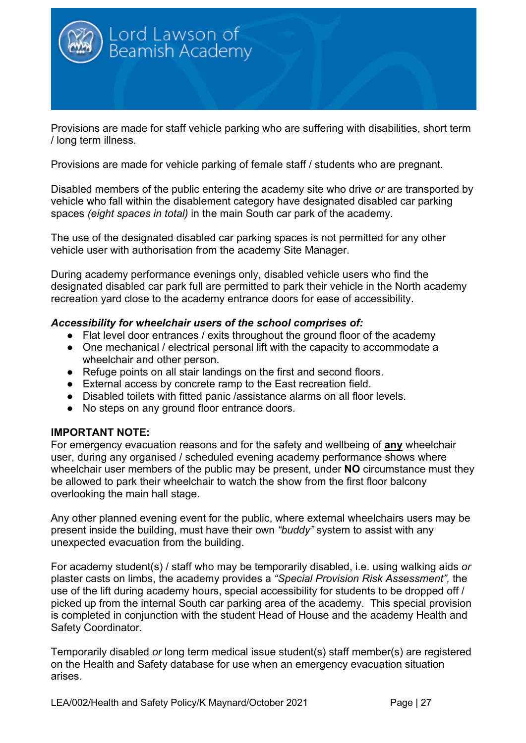

Provisions are made for staff vehicle parking who are suffering with disabilities, short term / long term illness.

Provisions are made for vehicle parking of female staff / students who are pregnant.

Disabled members of the public entering the academy site who drive *or* are transported by vehicle who fall within the disablement category have designated disabled car parking spaces *(eight spaces in total)* in the main South car park of the academy.

The use of the designated disabled car parking spaces is not permitted for any other vehicle user with authorisation from the academy Site Manager.

During academy performance evenings only, disabled vehicle users who find the designated disabled car park full are permitted to park their vehicle in the North academy recreation yard close to the academy entrance doors for ease of accessibility.

#### *Accessibility for wheelchair users of the school comprises of:*

- Flat level door entrances / exits throughout the ground floor of the academy
- One mechanical / electrical personal lift with the capacity to accommodate a wheelchair and other person.
- Refuge points on all stair landings on the first and second floors.
- External access by concrete ramp to the East recreation field.
- Disabled toilets with fitted panic /assistance alarms on all floor levels.
- No steps on any ground floor entrance doors.

# **IMPORTANT NOTE:**

For emergency evacuation reasons and for the safety and wellbeing of **any** wheelchair user, during any organised / scheduled evening academy performance shows where wheelchair user members of the public may be present, under **NO** circumstance must they be allowed to park their wheelchair to watch the show from the first floor balcony overlooking the main hall stage.

Any other planned evening event for the public, where external wheelchairs users may be present inside the building, must have their own *"buddy"* system to assist with any unexpected evacuation from the building.

For academy student(s) / staff who may be temporarily disabled, i.e. using walking aids *or*  plaster casts on limbs, the academy provides a *"Special Provision Risk Assessment",* the use of the lift during academy hours, special accessibility for students to be dropped off / picked up from the internal South car parking area of the academy. This special provision is completed in conjunction with the student Head of House and the academy Health and Safety Coordinator.

Temporarily disabled *or* long term medical issue student(s) staff member(s) are registered on the Health and Safety database for use when an emergency evacuation situation arises.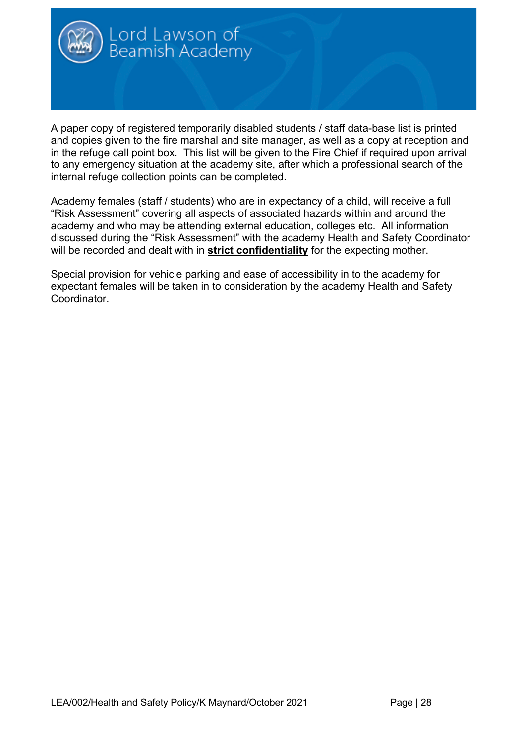

A paper copy of registered temporarily disabled students / staff data-base list is printed and copies given to the fire marshal and site manager, as well as a copy at reception and in the refuge call point box. This list will be given to the Fire Chief if required upon arrival to any emergency situation at the academy site, after which a professional search of the internal refuge collection points can be completed.

Academy females (staff / students) who are in expectancy of a child, will receive a full "Risk Assessment" covering all aspects of associated hazards within and around the academy and who may be attending external education, colleges etc. All information discussed during the "Risk Assessment" with the academy Health and Safety Coordinator will be recorded and dealt with in **strict confidentiality** for the expecting mother.

Special provision for vehicle parking and ease of accessibility in to the academy for expectant females will be taken in to consideration by the academy Health and Safety Coordinator.